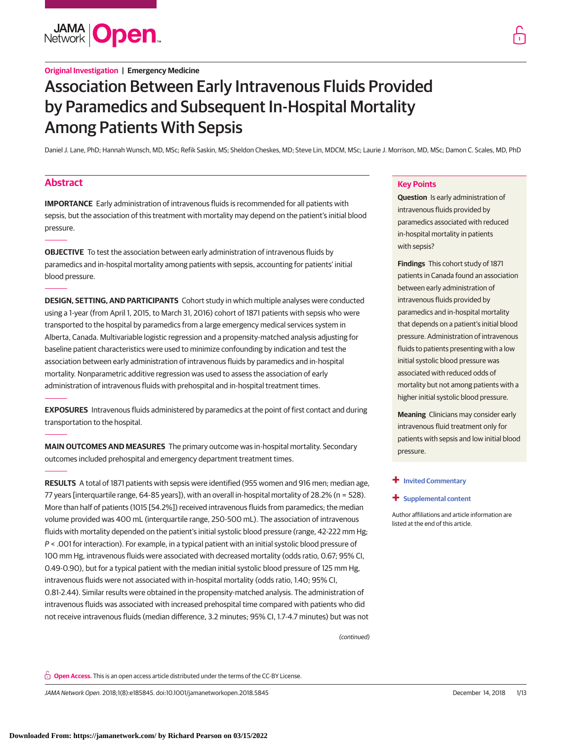**JAMA Open** 

# **Original Investigation | Emergency Medicine**

# Association Between Early Intravenous Fluids Provided by Paramedics and Subsequent In-Hospital Mortality Among Patients With Sepsis

Daniel J. Lane, PhD; Hannah Wunsch, MD, MSc; Refik Saskin, MS; Sheldon Cheskes, MD; Steve Lin, MDCM, MSc; Laurie J. Morrison, MD, MSc; Damon C. Scales, MD, PhD

# **Abstract**

**IMPORTANCE** Early administration of intravenous fluids is recommended for all patients with sepsis, but the association of this treatment with mortality may depend on the patient's initial blood pressure.

**OBJECTIVE** To test the association between early administration of intravenous fluids by paramedics and in-hospital mortality among patients with sepsis, accounting for patients' initial blood pressure.

**DESIGN, SETTING, AND PARTICIPANTS** Cohort study in which multiple analyses were conducted using a 1-year (from April 1, 2015, to March 31, 2016) cohort of 1871 patients with sepsis who were transported to the hospital by paramedics from a large emergency medical services system in Alberta, Canada. Multivariable logistic regression and a propensity-matched analysis adjusting for baseline patient characteristics were used to minimize confounding by indication and test the association between early administration of intravenous fluids by paramedics and in-hospital mortality. Nonparametric additive regression was used to assess the association of early administration of intravenous fluids with prehospital and in-hospital treatment times.

**EXPOSURES** Intravenous fluids administered by paramedics at the point of first contact and during transportation to the hospital.

**MAIN OUTCOMES AND MEASURES** The primary outcome was in-hospital mortality. Secondary outcomes included prehospital and emergency department treatment times.

**RESULTS** A total of 1871 patients with sepsis were identified (955 women and 916 men; median age, 77 years [interquartile range, 64-85 years]), with an overall in-hospital mortality of 28.2% (n = 528). More than half of patients (1015 [54.2%]) received intravenous fluids from paramedics; the median volume provided was 400 mL (interquartile range, 250-500 mL). The association of intravenous fluids with mortality depended on the patient's initial systolic blood pressure (range, 42-222 mm Hg; P < .001 for interaction). For example, in a typical patient with an initial systolic blood pressure of 100 mm Hg, intravenous fluids were associated with decreased mortality (odds ratio, 0.67; 95% CI, 0.49-0.90), but for a typical patient with the median initial systolic blood pressure of 125 mm Hg, intravenous fluids were not associated with in-hospital mortality (odds ratio, 1.40; 95% CI, 0.81-2.44). Similar results were obtained in the propensity-matched analysis. The administration of intravenous fluids was associated with increased prehospital time compared with patients who did not receive intravenous fluids (median difference, 3.2 minutes; 95% CI, 1.7-4.7 minutes) but was not

(continued)

**Open Access.** This is an open access article distributed under the terms of the CC-BY License.

JAMA Network Open. 2018;1(8):e185845. doi:10.1001/jamanetworkopen.2018.5845 (Reprinted) December 14, 2018 1/13

#### **Key Points**

**Question** Is early administration of intravenous fluids provided by paramedics associated with reduced in-hospital mortality in patients with sepsis?

**Findings** This cohort study of 1871 patients in Canada found an association between early administration of intravenous fluids provided by paramedics and in-hospital mortality that depends on a patient's initial blood pressure. Administration of intravenous fluids to patients presenting with a low initial systolic blood pressure was associated with reduced odds of mortality but not among patients with a higher initial systolic blood pressure.

**Meaning** Clinicians may consider early intravenous fluid treatment only for patients with sepsis and low initial blood pressure.

- **+ [Invited Commentary](https://jama.jamanetwork.com/article.aspx?doi=10.1001/jamanetworkopen.2018.5844&utm_campaign=articlePDF%26utm_medium=articlePDFlink%26utm_source=articlePDF%26utm_content=jamanetworkopen.2018.5845)**
- **+ [Supplemental content](https://jama.jamanetwork.com/article.aspx?doi=10.1001/jamanetworkopen.2018.5845&utm_campaign=articlePDF%26utm_medium=articlePDFlink%26utm_source=articlePDF%26utm_content=jamanetworkopen.2018.5845)**

Author affiliations and article information are listed at the end of this article.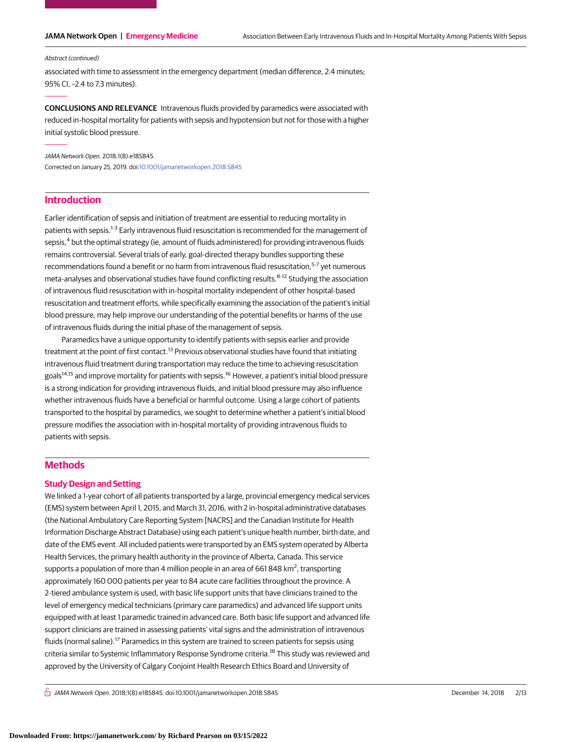#### Abstract (continued)

associated with time to assessment in the emergency department (median difference, 2.4 minutes; 95% CI, –2.4 to 7.3 minutes).

**CONCLUSIONS AND RELEVANCE** Intravenous fluids provided by paramedics were associated with reduced in-hospital mortality for patients with sepsis and hypotension but not for those with a higher initial systolic blood pressure.

JAMA Network Open. 2018;1(8):e185845. Corrected on January 25, 2019. doi[:10.1001/jamanetworkopen.2018.5845](https://jama.jamanetwork.com/article.aspx?doi=10.1001/jamanetworkopen.2018.5845&utm_campaign=articlePDF%26utm_medium=articlePDFlink%26utm_source=articlePDF%26utm_content=jamanetworkopen.2018.5845)

# **Introduction**

Earlier identification of sepsis and initiation of treatment are essential to reducing mortality in patients with sepsis.<sup>1-3</sup> Early intravenous fluid resuscitation is recommended for the management of sepsis,<sup>4</sup> but the optimal strategy (ie, amount of fluids administered) for providing intravenous fluids remains controversial. Several trials of early, goal-directed therapy bundles supporting these recommendations found a benefit or no harm from intravenous fluid resuscitation,<sup>5-7</sup> yet numerous meta-analyses and observational studies have found conflicting results.<sup>8-12</sup> Studying the association of intravenous fluid resuscitation with in-hospital mortality independent of other hospital-based resuscitation and treatment efforts, while specifically examining the association of the patient's initial blood pressure, may help improve our understanding of the potential benefits or harms of the use of intravenous fluids during the initial phase of the management of sepsis.

Paramedics have a unique opportunity to identify patients with sepsis earlier and provide treatment at the point of first contact.<sup>13</sup> Previous observational studies have found that initiating intravenous fluid treatment during transportation may reduce the time to achieving resuscitation goals14,15 and improve mortality for patients with sepsis.<sup>16</sup> However, a patient's initial blood pressure is a strong indication for providing intravenous fluids, and initial blood pressure may also influence whether intravenous fluids have a beneficial or harmful outcome. Using a large cohort of patients transported to the hospital by paramedics, we sought to determine whether a patient's initial blood pressure modifies the association with in-hospital mortality of providing intravenous fluids to patients with sepsis.

# **Methods**

#### **Study Design and Setting**

We linked a 1-year cohort of all patients transported by a large, provincial emergency medical services (EMS) system between April 1, 2015, and March 31, 2016, with 2 in-hospital administrative databases (the National Ambulatory Care Reporting System [NACRS] and the Canadian Institute for Health Information Discharge Abstract Database) using each patient's unique health number, birth date, and date of the EMS event. All included patients were transported by an EMS system operated by Alberta Health Services, the primary health authority in the province of Alberta, Canada. This service supports a population of more than 4 million people in an area of 661 848 km<sup>2</sup>, transporting approximately 160 000 patients per year to 84 acute care facilities throughout the province. A 2-tiered ambulance system is used, with basic life support units that have clinicians trained to the level of emergency medical technicians (primary care paramedics) and advanced life support units equipped with at least 1 paramedic trained in advanced care. Both basic life support and advanced life support clinicians are trained in assessing patients' vital signs and the administration of intravenous fluids (normal saline).<sup>17</sup> Paramedics in this system are trained to screen patients for sepsis using criteria similar to Systemic Inflammatory Response Syndrome criteria.<sup>18</sup> This study was reviewed and approved by the University of Calgary Conjoint Health Research Ethics Board and University of

 $\bigcap$  JAMA Network Open. 2018;1(8):e185845. doi:10.1001/jamanetworkopen.2018.5845 (Reprinted) December 14, 2018 2/13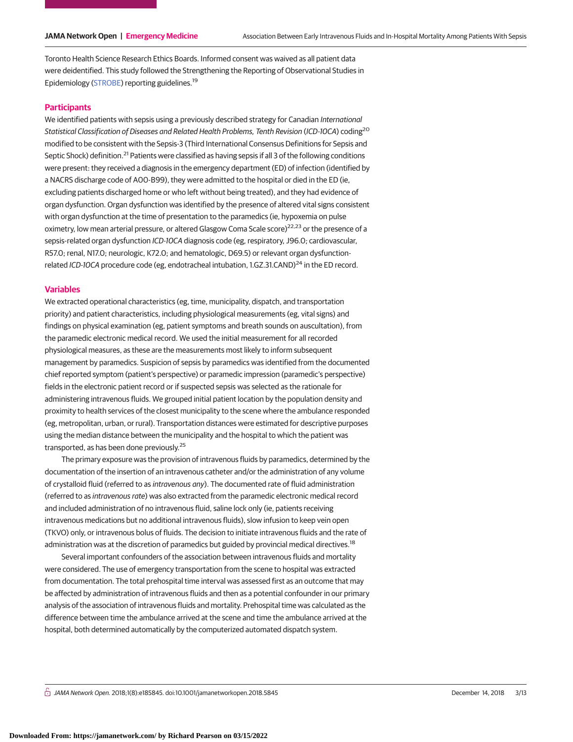Toronto Health Science Research Ethics Boards. Informed consent was waived as all patient data were deidentified. This study followed the Strengthening the Reporting of Observational Studies in Epidemiology [\(STROBE\)](http://www.equator-network.org/reporting-guidelines/strobe/) reporting guidelines.19

#### **Participants**

We identified patients with sepsis using a previously described strategy for Canadian International Statistical Classification of Diseases and Related Health Problems, Tenth Revision (ICD-10CA) coding<sup>20</sup> modified to be consistent with the Sepsis-3 (Third International Consensus Definitions for Sepsis and Septic Shock) definition.<sup>21</sup> Patients were classified as having sepsis if all 3 of the following conditions were present: they received a diagnosis in the emergency department (ED) of infection (identified by a NACRS discharge code of A00-B99), they were admitted to the hospital or died in the ED (ie, excluding patients discharged home or who left without being treated), and they had evidence of organ dysfunction. Organ dysfunction was identified by the presence of altered vital signs consistent with organ dysfunction at the time of presentation to the paramedics (ie, hypoxemia on pulse oximetry, low mean arterial pressure, or altered Glasgow Coma Scale score)<sup>22,23</sup> or the presence of a sepsis-related organ dysfunction ICD-10CA diagnosis code (eg, respiratory, J96.0; cardiovascular, R57.0; renal, N17.0; neurologic, K72.0; and hematologic, D69.5) or relevant organ dysfunctionrelated ICD-10CA procedure code (eg, endotracheal intubation, 1.GZ.31.CAND)<sup>24</sup> in the ED record.

### **Variables**

We extracted operational characteristics (eg, time, municipality, dispatch, and transportation priority) and patient characteristics, including physiological measurements (eg, vital signs) and findings on physical examination (eg, patient symptoms and breath sounds on auscultation), from the paramedic electronic medical record. We used the initial measurement for all recorded physiological measures, as these are the measurements most likely to inform subsequent management by paramedics. Suspicion of sepsis by paramedics was identified from the documented chief reported symptom (patient's perspective) or paramedic impression (paramedic's perspective) fields in the electronic patient record or if suspected sepsis was selected as the rationale for administering intravenous fluids. We grouped initial patient location by the population density and proximity to health services of the closest municipality to the scene where the ambulance responded (eg, metropolitan, urban, or rural). Transportation distances were estimated for descriptive purposes using the median distance between the municipality and the hospital to which the patient was transported, as has been done previously.<sup>25</sup>

The primary exposure was the provision of intravenous fluids by paramedics, determined by the documentation of the insertion of an intravenous catheter and/or the administration of any volume of crystalloid fluid (referred to as intravenous any). The documented rate of fluid administration (referred to as intravenous rate) was also extracted from the paramedic electronic medical record and included administration of no intravenous fluid, saline lock only (ie, patients receiving intravenous medications but no additional intravenous fluids), slow infusion to keep vein open (TKVO) only, or intravenous bolus of fluids. The decision to initiate intravenous fluids and the rate of administration was at the discretion of paramedics but guided by provincial medical directives.<sup>18</sup>

Several important confounders of the association between intravenous fluids and mortality were considered. The use of emergency transportation from the scene to hospital was extracted from documentation. The total prehospital time interval was assessed first as an outcome that may be affected by administration of intravenous fluids and then as a potential confounder in our primary analysis of the association of intravenous fluids and mortality. Prehospital time was calculated as the difference between time the ambulance arrived at the scene and time the ambulance arrived at the hospital, both determined automatically by the computerized automated dispatch system.

 $\stackrel{\frown}{\Pi}$  JAMA Network Open. 2018;1(8):e185845. doi:10.1001/jamanetworkopen.2018.5845 (Reprinted) December 14, 2018 3/13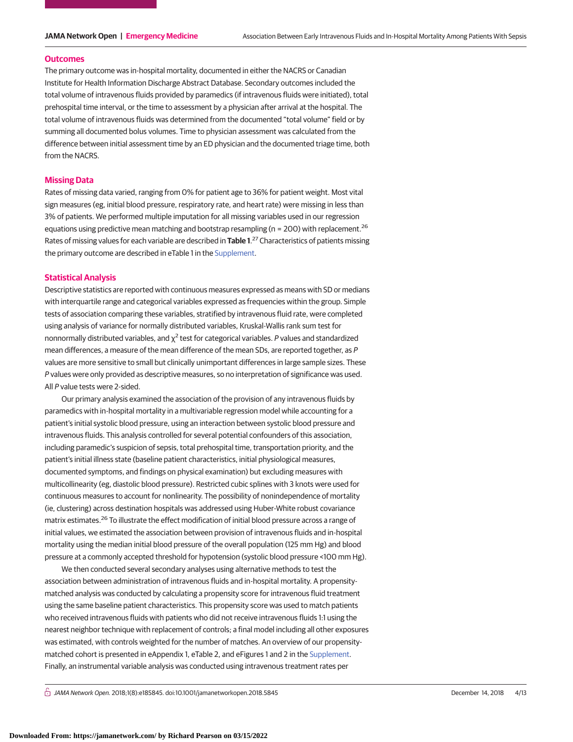#### **Outcomes**

The primary outcome was in-hospital mortality, documented in either the NACRS or Canadian Institute for Health Information Discharge Abstract Database. Secondary outcomes included the total volume of intravenous fluids provided by paramedics (if intravenous fluids were initiated), total prehospital time interval, or the time to assessment by a physician after arrival at the hospital. The total volume of intravenous fluids was determined from the documented "total volume" field or by summing all documented bolus volumes. Time to physician assessment was calculated from the difference between initial assessment time by an ED physician and the documented triage time, both from the NACRS.

#### **Missing Data**

Rates of missing data varied, ranging from 0% for patient age to 36% for patient weight. Most vital sign measures (eg, initial blood pressure, respiratory rate, and heart rate) were missing in less than 3% of patients. We performed multiple imputation for all missing variables used in our regression equations using predictive mean matching and bootstrap resampling ( $n = 200$ ) with replacement.<sup>26</sup> Rates of missing values for each variable are described in **Table 1**. <sup>27</sup> Characteristics of patients missing the primary outcome are described in eTable 1 in the [Supplement.](https://jama.jamanetwork.com/article.aspx?doi=10.1001/jamanetworkopen.2018.5845&utm_campaign=articlePDF%26utm_medium=articlePDFlink%26utm_source=articlePDF%26utm_content=jamanetworkopen.2018.5845)

#### **Statistical Analysis**

Descriptive statistics are reported with continuous measures expressed as means with SD or medians with interquartile range and categorical variables expressed as frequencies within the group. Simple tests of association comparing these variables, stratified by intravenous fluid rate, were completed using analysis of variance for normally distributed variables, Kruskal-Wallis rank sum test for nonnormally distributed variables, and  $\chi^2$  test for categorical variables. P values and standardized mean differences, a measure of the mean difference of the mean SDs, are reported together, as P values are more sensitive to small but clinically unimportant differences in large sample sizes. These P values were only provided as descriptive measures, so no interpretation of significance was used. All P value tests were 2-sided.

Our primary analysis examined the association of the provision of any intravenous fluids by paramedics with in-hospital mortality in a multivariable regression model while accounting for a patient's initial systolic blood pressure, using an interaction between systolic blood pressure and intravenous fluids. This analysis controlled for several potential confounders of this association, including paramedic's suspicion of sepsis, total prehospital time, transportation priority, and the patient's initial illness state (baseline patient characteristics, initial physiological measures, documented symptoms, and findings on physical examination) but excluding measures with multicollinearity (eg, diastolic blood pressure). Restricted cubic splines with 3 knots were used for continuous measures to account for nonlinearity. The possibility of nonindependence of mortality (ie, clustering) across destination hospitals was addressed using Huber-White robust covariance matrix estimates.26 To illustrate the effect modification of initial blood pressure across a range of initial values, we estimated the association between provision of intravenous fluids and in-hospital mortality using the median initial blood pressure of the overall population (125 mm Hg) and blood pressure at a commonly accepted threshold for hypotension (systolic blood pressure <100 mm Hg).

We then conducted several secondary analyses using alternative methods to test the association between administration of intravenous fluids and in-hospital mortality. A propensitymatched analysis was conducted by calculating a propensity score for intravenous fluid treatment using the same baseline patient characteristics. This propensity score was used to match patients who received intravenous fluids with patients who did not receive intravenous fluids 1:1 using the nearest neighbor technique with replacement of controls; a final model including all other exposures was estimated, with controls weighted for the number of matches. An overview of our propensitymatched cohort is presented in eAppendix 1, eTable 2, and eFigures 1 and 2 in the [Supplement.](https://jama.jamanetwork.com/article.aspx?doi=10.1001/jamanetworkopen.2018.5845&utm_campaign=articlePDF%26utm_medium=articlePDFlink%26utm_source=articlePDF%26utm_content=jamanetworkopen.2018.5845) Finally, an instrumental variable analysis was conducted using intravenous treatment rates per

 $\bigcap$  JAMA Network Open. 2018;1(8):e185845. doi:10.1001/jamanetworkopen.2018.5845 (Reprinted) December 14, 2018 4/13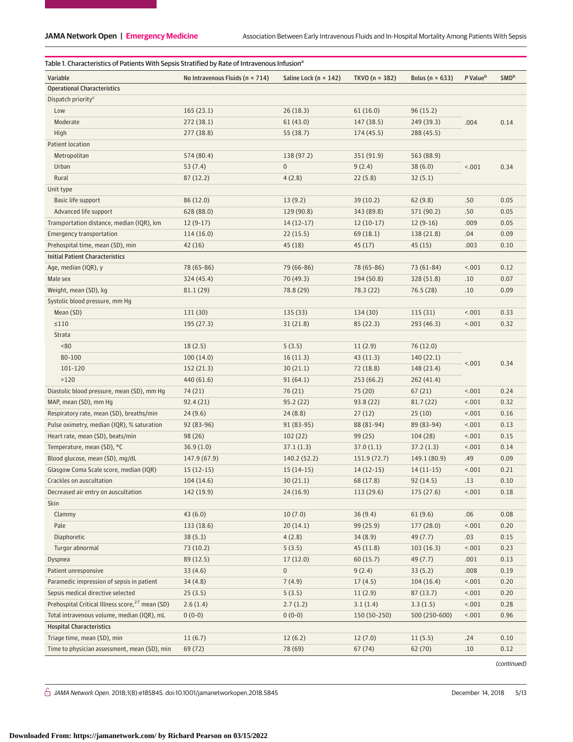| Variable                                                    | No Intravenous Fluids ( $n = 714$ ) | Saline Lock ( $n = 142$ ) | $TKVO (n = 382)$ | Bolus ( $n = 633$ ) | P Value <sup>b</sup> | <b>SMD</b> b |
|-------------------------------------------------------------|-------------------------------------|---------------------------|------------------|---------------------|----------------------|--------------|
| <b>Operational Characteristics</b>                          |                                     |                           |                  |                     |                      |              |
| Dispatch priority <sup>c</sup>                              |                                     |                           |                  |                     |                      |              |
| Low                                                         | 165(23.1)                           | 26(18.3)                  | 61(16.0)         | 96(15.2)            |                      | 0.14         |
| Moderate                                                    | 272(38.1)                           | 61(43.0)                  | 147 (38.5)       | 249 (39.3)          | .004                 |              |
| High                                                        | 277 (38.8)                          | 55 (38.7)                 | 174 (45.5)       | 288 (45.5)          |                      |              |
| Patient location                                            |                                     |                           |                  |                     |                      |              |
| Metropolitan                                                | 574 (80.4)                          | 138 (97.2)                | 351 (91.9)       | 563 (88.9)          | 1001                 | 0.34         |
| Urban                                                       | 53(7.4)                             | $\mathbf 0$               | 9(2.4)           | 38(6.0)             |                      |              |
| Rural                                                       | 87(12.2)                            | 4(2.8)                    | 22(5.8)          | 32(5.1)             |                      |              |
| Unit type                                                   |                                     |                           |                  |                     |                      |              |
| Basic life support                                          | 86 (12.0)                           | 13(9.2)                   | 39(10.2)         | 62(9.8)             | .50                  | 0.05         |
| Advanced life support                                       | 628 (88.0)                          | 129 (90.8)                | 343 (89.8)       | 571 (90.2)          | .50                  | 0.05         |
| Transportation distance, median (IQR), km                   | $12(9-17)$                          | $14(12-17)$               | $12(10-17)$      | $12(9-16)$          | .009                 | 0.05         |
| <b>Emergency transportation</b>                             | 114 (16.0)                          | 22(15.5)                  | 69(18.1)         | 138 (21.8)          | .04                  | 0.09         |
| Prehospital time, mean (SD), min                            | 42(16)                              | 45(18)                    | 45(17)           | 45(15)              | .003                 | 0.10         |
| <b>Initial Patient Characteristics</b>                      |                                     |                           |                  |                     |                      |              |
| Age, median (IQR), y                                        | 78 (65-86)                          | 79 (66-86)                | 78 (65-86)       | 73 (61-84)          | < .001               | 0.12         |
| Male sex                                                    | 324 (45.4)                          | 70 (49.3)                 | 194 (50.8)       | 328 (51.8)          | $.10$                | 0.07         |
| Weight, mean (SD), kg                                       | 81.1(29)                            | 78.8 (29)                 | 78.3 (22)        | 76.5(28)            | .10                  | 0.09         |
| Systolic blood pressure, mm Hg                              |                                     |                           |                  |                     |                      |              |
| Mean (SD)                                                   | 131 (30)                            | 135(33)                   | 134 (30)         | 115(31)             | < .001               | 0.33         |
| $\leq 110$                                                  | 195(27.3)                           | 31(21.8)                  | 85(22.3)         | 293 (46.3)          | 1001                 | 0.32         |
| Strata                                                      |                                     |                           |                  |                     |                      |              |
| < 80                                                        | 18(2.5)                             | 5(3.5)                    | 11(2.9)          | 76 (12.0)           |                      |              |
| 80-100                                                      | 100(14.0)                           | 16(11.3)                  | 43(11.3)         | 140(22.1)           | < .001               | 0.34         |
| 101-120                                                     | 152(21.3)                           | 30(21.1)                  | 72 (18.8)        | 148 (23.4)          |                      |              |
| >120                                                        | 440 (61.6)                          | 91(64.1)                  | 253 (66.2)       | 262(41.4)           |                      |              |
| Diastolic blood pressure, mean (SD), mm Hg                  | 74 (21)                             | 76 (21)                   | 75 (20)          | 67(21)              | < .001               | 0.24         |
| MAP, mean (SD), mm Hg                                       |                                     |                           |                  |                     | < .001               | 0.32         |
|                                                             | 92.4(21)                            | 95.2(22)                  | 93.8 (22)        | 81.7(22)            |                      |              |
| Respiratory rate, mean (SD), breaths/min                    | 24(9.6)                             | 24(8.8)<br>$91(83-95)$    | 27(12)           | 25(10)              | < .001               | 0.16         |
| Pulse oximetry, median (IQR), % saturation                  | 92 (83-96)                          |                           | 88 (81-94)       | 89 (83-94)          | < .001               | 0.13         |
| Heart rate, mean (SD), beats/min                            | 98 (26)                             | 102(22)                   | 99 (25)          | 104(28)             | < .001               | 0.15         |
| Temperature, mean (SD), °C                                  | 36.9(1.0)                           | 37.1(1.3)                 | 37.0(1.1)        | 37.2(1.3)           | < .001               | 0.14         |
| Blood glucose, mean (SD), mg/dL                             | 147.9 (67.9)                        | 140.2 (52.2)              | 151.9 (72.7)     | 149.1 (80.9)        | .49                  | 0.09         |
| Glasgow Coma Scale score, median (IQR)                      | $15(12-15)$                         | $15(14-15)$               | $14(12-15)$      | $14(11-15)$         | < .001               | 0.21         |
| Crackles on auscultation                                    | 104(14.6)                           | 30(21.1)                  | 68 (17.8)        | 92(14.5)            | .13                  | 0.10         |
| Decreased air entry on auscultation                         | 142 (19.9)                          | 24(16.9)                  | 113 (29.6)       | 175 (27.6)          | 15.001               | 0.18         |
| Skin                                                        |                                     |                           |                  |                     |                      |              |
| Clammy                                                      | 43(6.0)                             | 10(7.0)                   | 36(9.4)          | 61(9.6)             | .06                  | 0.08         |
| Pale                                                        | 133(18.6)                           | 20(14.1)                  | 99 (25.9)        | 177 (28.0)          | < .001               | 0.20         |
| Diaphoretic                                                 | 38(5.3)                             | 4(2.8)                    | 34(8.9)          | 49 (7.7)            | .03                  | 0.15         |
| Turgor abnormal                                             | 73 (10.2)                           | 5(3.5)                    | 45(11.8)         | 103(16.3)           | < .001               | 0.23         |
| Dyspnea                                                     | 89 (12.5)                           | 17(12.0)                  | 60(15.7)         | 49 (7.7)            | .001                 | 0.13         |
| Patient unresponsive                                        | 33(4.6)                             | $\mathbf 0$               | 9(2.4)           | 33(5.2)             | .008                 | 0.19         |
| Paramedic impression of sepsis in patient                   | 34(4.8)                             | 7(4.9)                    | 17(4.5)          | 104(16.4)           | < .001               | 0.20         |
| Sepsis medical directive selected                           | 25(3.5)                             | 5(3.5)                    | 11(2.9)          | 87(13.7)            | < .001               | 0.20         |
| Prehospital Critical Illness score, <sup>27</sup> mean (SD) | 2.6(1.4)                            | 2.7(1.2)                  | 3.1(1.4)         | 3.3(1.5)            | 18.001               | 0.28         |
| Total intravenous volume, median (IQR), mL                  | $0(0-0)$                            | $0(0-0)$                  | 150 (50-250)     | 500 (250-600)       | < .001               | 0.96         |
| <b>Hospital Characteristics</b>                             |                                     |                           |                  |                     |                      |              |
| Triage time, mean (SD), min                                 | 11(6.7)                             | 12(6.2)                   | 12(7.0)          | 11(5.5)             | .24                  | 0.10         |
| Time to physician assessment, mean (SD), min                | 69 (72)                             | 78 (69)                   | 67 (74)          | 62(70)              | .10                  | 0.12         |

(continued)

 $\hat{\Box}$  JAMA Network Open. 2018;1(8):e185845. doi:10.1001/jamanetworkopen.2018.5845 (Reprinted) December 14, 2018 5/13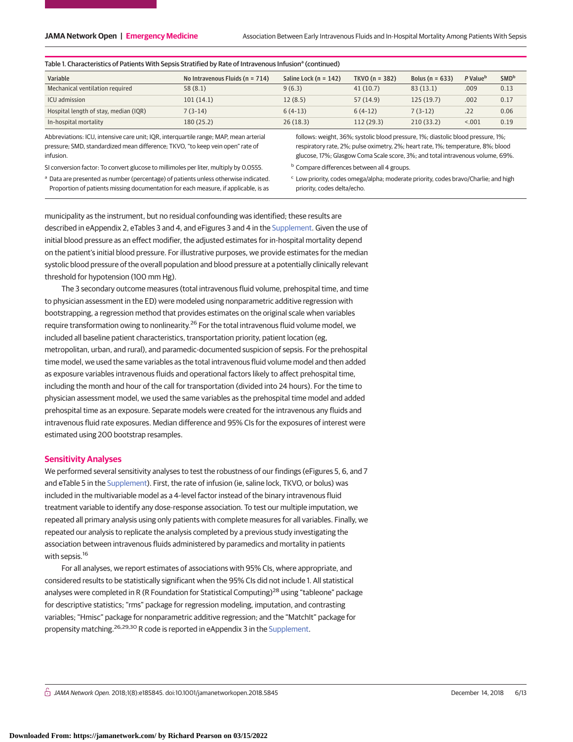| Table 1. Characteristics of Patients With Sepsis Stratified by Rate of Intravenous Infusion <sup>a</sup> (continued) |                                     |                           |                  |                     |                      |                  |  |
|----------------------------------------------------------------------------------------------------------------------|-------------------------------------|---------------------------|------------------|---------------------|----------------------|------------------|--|
| Variable                                                                                                             | No Intravenous Fluids ( $n = 714$ ) | Saline Lock ( $n = 142$ ) | $TKVO (n = 382)$ | Bolus ( $n = 633$ ) | P Value <sup>b</sup> | SMD <sup>b</sup> |  |
| Mechanical ventilation required                                                                                      | 58(8.1)                             | 9(6.3)                    | 41(10.7)         | 83(13.1)            | .009                 | 0.13             |  |
| ICU admission                                                                                                        | 101(14.1)                           | 12(8.5)                   | 57(14.9)         | 125(19.7)           | .002                 | 0.17             |  |
| Hospital length of stay, median (IQR)                                                                                | $7(3-14)$                           | $6(4-13)$                 | $6(4-12)$        | $7(3-12)$           | .22                  | 0.06             |  |
| In-hospital mortality                                                                                                | 180(25.2)                           | 26(18.3)                  | 112(29.3)        | 210(33.2)           | < 0.001              | 0.19             |  |

Abbreviations: ICU, intensive care unit; IQR, interquartile range; MAP, mean arterial pressure; SMD, standardized mean difference; TKVO, "to keep vein open" rate of infusion.

**b** Compare differences between all 4 groups.

SI conversion factor: To convert glucose to millimoles per liter, multiply by 0.0555. <sup>a</sup> Data are presented as number (percentage) of patients unless otherwise indicated. Proportion of patients missing documentation for each measure, if applicable, is as

<sup>c</sup> Low priority, codes omega/alpha; moderate priority, codes bravo/Charlie; and high priority, codes delta/echo.

follows: weight, 36%; systolic blood pressure, 1%; diastolic blood pressure, 1%; respiratory rate, 2%; pulse oximetry, 2%; heart rate, 1%; temperature, 8%; blood glucose, 17%; Glasgow Coma Scale score, 3%; and total intravenous volume, 69%.

municipality as the instrument, but no residual confounding was identified; these results are described in eAppendix 2, eTables 3 and 4, and eFigures 3 and 4 in the [Supplement.](https://jama.jamanetwork.com/article.aspx?doi=10.1001/jamanetworkopen.2018.5845&utm_campaign=articlePDF%26utm_medium=articlePDFlink%26utm_source=articlePDF%26utm_content=jamanetworkopen.2018.5845) Given the use of initial blood pressure as an effect modifier, the adjusted estimates for in-hospital mortality depend on the patient's initial blood pressure. For illustrative purposes, we provide estimates for the median systolic blood pressure of the overall population and blood pressure at a potentially clinically relevant threshold for hypotension (100 mm Hg).

The 3 secondary outcome measures (total intravenous fluid volume, prehospital time, and time to physician assessment in the ED) were modeled using nonparametric additive regression with bootstrapping, a regression method that provides estimates on the original scale when variables require transformation owing to nonlinearity.<sup>26</sup> For the total intravenous fluid volume model, we included all baseline patient characteristics, transportation priority, patient location (eg, metropolitan, urban, and rural), and paramedic-documented suspicion of sepsis. For the prehospital time model, we used the same variables as the total intravenous fluid volume model and then added as exposure variables intravenous fluids and operational factors likely to affect prehospital time, including the month and hour of the call for transportation (divided into 24 hours). For the time to physician assessment model, we used the same variables as the prehospital time model and added prehospital time as an exposure. Separate models were created for the intravenous any fluids and intravenous fluid rate exposures. Median difference and 95% CIs for the exposures of interest were estimated using 200 bootstrap resamples.

#### **Sensitivity Analyses**

We performed several sensitivity analyses to test the robustness of our findings (eFigures 5, 6, and 7 and eTable 5 in the [Supplement\)](https://jama.jamanetwork.com/article.aspx?doi=10.1001/jamanetworkopen.2018.5845&utm_campaign=articlePDF%26utm_medium=articlePDFlink%26utm_source=articlePDF%26utm_content=jamanetworkopen.2018.5845). First, the rate of infusion (ie, saline lock, TKVO, or bolus) was included in the multivariable model as a 4-level factor instead of the binary intravenous fluid treatment variable to identify any dose-response association. To test our multiple imputation, we repeated all primary analysis using only patients with complete measures for all variables. Finally, we repeated our analysis to replicate the analysis completed by a previous study investigating the association between intravenous fluids administered by paramedics and mortality in patients with sepsis.<sup>16</sup>

For all analyses, we report estimates of associations with 95% CIs, where appropriate, and considered results to be statistically significant when the 95% CIs did not include 1. All statistical analyses were completed in R (R Foundation for Statistical Computing)<sup>28</sup> using "tableone" package for descriptive statistics; "rms" package for regression modeling, imputation, and contrasting variables; "Hmisc" package for nonparametric additive regression; and the "MatchIt" package for propensity matching.26,29,30 R code is reported in eAppendix 3 in the [Supplement.](https://jama.jamanetwork.com/article.aspx?doi=10.1001/jamanetworkopen.2018.5845&utm_campaign=articlePDF%26utm_medium=articlePDFlink%26utm_source=articlePDF%26utm_content=jamanetworkopen.2018.5845)

 $\stackrel{\frown}{\Pi}$  JAMA Network Open. 2018;1(8):e185845. doi:10.1001/jamanetworkopen.2018.5845 (Reprinted) December 14, 2018 6/13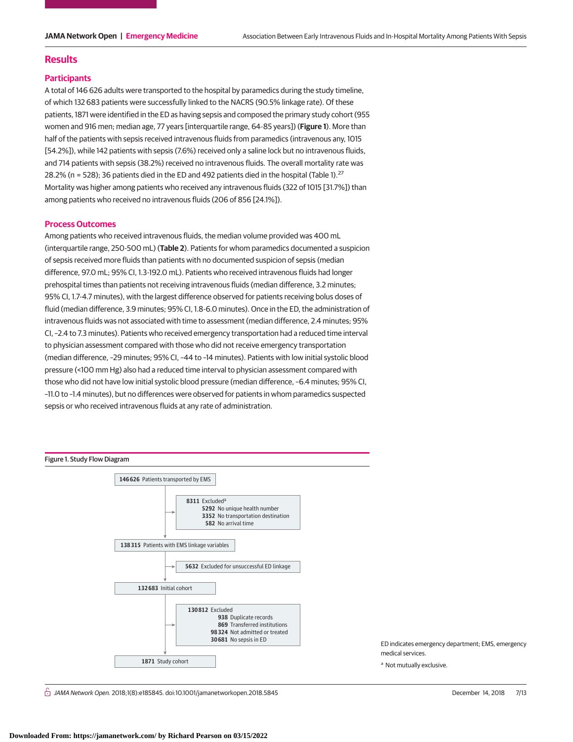#### **Results**

#### **Participants**

A total of 146 626 adults were transported to the hospital by paramedics during the study timeline, of which 132 683 patients were successfully linked to the NACRS (90.5% linkage rate). Of these patients, 1871 were identified in the ED as having sepsis and composed the primary study cohort (955 women and 916 men; median age, 77 years [interquartile range, 64-85 years]) (**Figure 1**). More than half of the patients with sepsis received intravenous fluids from paramedics (intravenous any, 1015 [54.2%]), while 142 patients with sepsis (7.6%) received only a saline lock but no intravenous fluids, and 714 patients with sepsis (38.2%) received no intravenous fluids. The overall mortality rate was 28.2% (n = 528); 36 patients died in the ED and 492 patients died in the hospital (Table 1).<sup>27</sup> Mortality was higher among patients who received any intravenous fluids (322 of 1015 [31.7%]) than among patients who received no intravenous fluids (206 of 856 [24.1%]).

#### **Process Outcomes**

Among patients who received intravenous fluids, the median volume provided was 400 mL (interquartile range, 250-500 mL) (**Table 2**). Patients for whom paramedics documented a suspicion of sepsis received more fluids than patients with no documented suspicion of sepsis (median difference, 97.0 mL; 95% CI, 1.3-192.0 mL). Patients who received intravenous fluids had longer prehospital times than patients not receiving intravenous fluids (median difference, 3.2 minutes; 95% CI, 1.7-4.7 minutes), with the largest difference observed for patients receiving bolus doses of fluid (median difference, 3.9 minutes; 95% CI, 1.8-6.0 minutes). Once in the ED, the administration of intravenous fluids was not associated with time to assessment (median difference, 2.4 minutes; 95% CI, –2.4 to 7.3 minutes). Patients who received emergency transportation had a reduced time interval to physician assessment compared with those who did not receive emergency transportation (median difference, –29 minutes; 95% CI, –44 to –14 minutes). Patients with low initial systolic blood pressure (<100 mm Hg) also had a reduced time interval to physician assessment compared with those who did not have low initial systolic blood pressure (median difference, –6.4 minutes; 95% CI, –11.0 to –1.4 minutes), but no differences were observed for patients in whom paramedics suspected sepsis or who received intravenous fluids at any rate of administration.

#### Figure 1. Study Flow Diagram



medical services.

a Not mutually exclusive.

#### $\stackrel{\frown}{\Pi}$  JAMA Network Open. 2018;1(8):e185845. doi:10.1001/jamanetworkopen.2018.5845 (Reprinted) December 14, 2018 7/13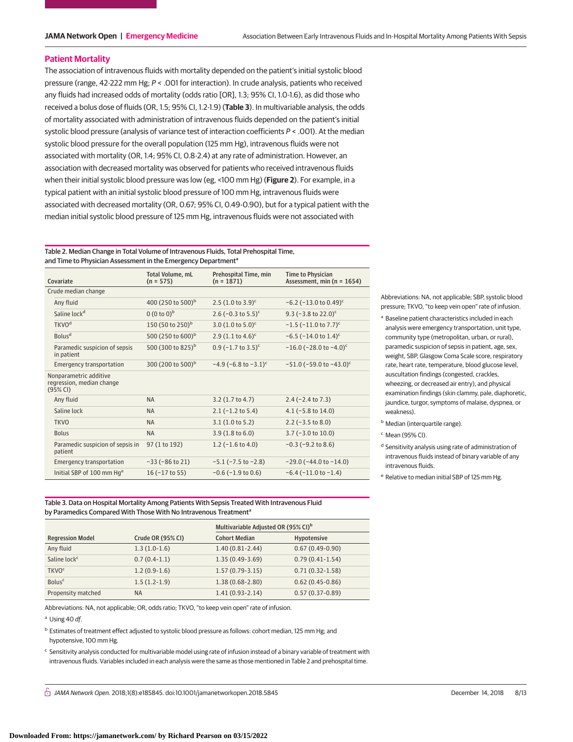#### **Patient Mortality**

The association of intravenous fluids with mortality depended on the patient's initial systolic blood pressure (range, 42-222 mm Hg; P < .001 for interaction). In crude analysis, patients who received any fluids had increased odds of mortality (odds ratio [OR], 1.3; 95% CI, 1.0-1.6), as did those who received a bolus dose of fluids (OR, 1.5; 95% CI, 1.2-1.9) (**Table 3**). In multivariable analysis, the odds of mortality associated with administration of intravenous fluids depended on the patient's initial systolic blood pressure (analysis of variance test of interaction coefficients P < .001). At the median systolic blood pressure for the overall population (125 mm Hg), intravenous fluids were not associated with mortality (OR, 1.4; 95% CI, 0.8-2.4) at any rate of administration. However, an association with decreased mortality was observed for patients who received intravenous fluids when their initial systolic blood pressure was low (eg, <100 mm Hg) (**Figure 2**). For example, in a typical patient with an initial systolic blood pressure of 100 mm Hg, intravenous fluids were associated with decreased mortality (OR, 0.67; 95% CI, 0.49-0.90), but for a typical patient with the median initial systolic blood pressure of 125 mm Hg, intravenous fluids were not associated with

#### Table 2. Median Change in Total Volume of Intravenous Fluids, Total Prehospital Time, and Time to Physician Assessment in the Emergency Department<sup>a</sup>

|                     | Covariate                                                       | <b>Total Volume, mL</b><br>$(n = 575)$ | Prehospital Time, min<br>$(n = 1871)$ | <b>Time to Physician</b><br>Assessment, min ( $n = 1654$ ) |
|---------------------|-----------------------------------------------------------------|----------------------------------------|---------------------------------------|------------------------------------------------------------|
| Crude median change |                                                                 |                                        |                                       |                                                            |
|                     | Any fluid                                                       | 400 (250 to 500) <sup>b</sup>          | 2.5 $(1.0 \text{ to } 3.9)^c$         | $-6.2$ (-13.0 to 0.49) <sup>c</sup>                        |
|                     | Saline lock <sup>d</sup>                                        | $(0 (0 to 0)^b)$                       | 2.6 $(-0.3 \text{ to } 5.5)^c$        | 9.3 $(-3.8$ to 22.0) <sup>c</sup>                          |
|                     | <b>TKVO<sup>d</sup></b>                                         | 150 (50 to 250) <sup>b</sup>           | $3.0 (1.0 to 5.0)^c$                  | $-1.5$ ( $-11.0$ to $7.7$ ) <sup>c</sup>                   |
|                     | <b>Bolusd</b>                                                   | 500 (250 to 600) <sup>b</sup>          | $2.9(1.1 \text{ to } 4.6)^c$          | $-6.5$ ( $-14.0$ to $1.4$ ) <sup>c</sup>                   |
|                     | Paramedic suspicion of sepsis<br>in patient                     | 500 (300 to 825) <sup>b</sup>          | $0.9$ (-1.7 to 3.5) <sup>c</sup>      | $-16.0$ (-28.0 to -4.0) <sup>c</sup>                       |
|                     | <b>Emergency transportation</b>                                 | 300 (200 to 500) <sup>b</sup>          | $-4.9$ (-6.8 to $-3.1$ ) <sup>c</sup> | $-51.0$ (-59.0 to -43.0) <sup>c</sup>                      |
|                     | Nonparametric additive<br>regression, median change<br>(95% CI) |                                        |                                       |                                                            |
|                     | Any fluid                                                       | <b>NA</b>                              | $3.2(1.7 \text{ to } 4.7)$            | $2.4$ (-2.4 to 7.3)                                        |
|                     | Saline lock                                                     | <b>NA</b>                              | $2.1$ (-1.2 to 5.4)                   | 4.1 $(-5.8 \text{ to } 14.0)$                              |
|                     | <b>TKVO</b>                                                     | <b>NA</b>                              | 3.1(1.0 to 5.2)                       | $2.2$ (-3.5 to 8.0)                                        |
|                     | <b>Bolus</b>                                                    | <b>NA</b>                              | $3.9(1.8 \text{ to } 6.0)$            | $3.7$ (-3.0 to 10.0)                                       |
|                     | Paramedic suspicion of sepsis in<br>patient                     | 97 (1 to 192)                          | $1.2$ (-1.6 to 4.0)                   | $-0.3$ ( $-9.2$ to 8.6)                                    |
|                     | <b>Emergency transportation</b>                                 | $-33$ ( $-86$ to 21)                   | $-5.1$ ( $-7.5$ to $-2.8$ )           | $-29.0$ ( $-44.0$ to $-14.0$ )                             |
|                     | Initial SBP of 100 mm Hq <sup>e</sup>                           | $16 (-17 to 55)$                       | $-0.6$ ( $-1.9$ to $0.6$ )            | $-6.4$ ( $-11.0$ to $-1.4$ )                               |

Abbreviations: NA, not applicable; SBP, systolic blood pressure; TKVO, "to keep vein open" rate of infusion.

- <sup>a</sup> Baseline patient characteristics included in each analysis were emergency transportation, unit type, community type (metropolitan, urban, or rural), paramedic suspicion of sepsis in patient, age, sex, weight, SBP, Glasgow Coma Scale score, respiratory rate, heart rate, temperature, blood glucose level, auscultation findings (congested, crackles, wheezing, or decreased air entry), and physical examination findings (skin clammy, pale, diaphoretic, jaundice, turgor, symptoms of malaise, dyspnea, or weakness).
- **b** Median (interquartile range).
- $c$  Mean (95% CI).
- <sup>d</sup> Sensitivity analysis using rate of administration of intravenous fluids instead of binary variable of any intravenous fluids.
- <sup>e</sup> Relative to median initial SBP of 125 mm Hg.

#### Table 3. Data on Hospital Mortality Among Patients With Sepsis Treated With Intravenous Fluid by Paramedics Compared With Those With No Intravenous Treatment<sup>a</sup>

|                           |                   | Multivariable Adjusted OR (95% CI) <sup>b</sup> |                     |
|---------------------------|-------------------|-------------------------------------------------|---------------------|
| <b>Regression Model</b>   | Crude OR (95% CI) | <b>Cohort Median</b>                            | <b>Hypotensive</b>  |
| Any fluid                 | $1.3(1.0-1.6)$    | $1.40(0.81 - 2.44)$                             | $0.67(0.49-0.90)$   |
| Saline lock <sup>c</sup>  | $0.7(0.4-1.1)$    | $1.35(0.49-3.69)$                               | $0.79(0.41-1.54)$   |
| <b>TKVO<sup>c</sup></b>   | $1.2(0.9-1.6)$    | $1.57(0.79-3.15)$                               | $0.71(0.32 - 1.58)$ |
| <b>Bolus</b> <sup>c</sup> | $1.5(1.2-1.9)$    | $1.38(0.68 - 2.80)$                             | $0.62(0.45-0.86)$   |
| Propensity matched        | <b>NA</b>         | $1.41(0.93-2.14)$                               | $0.57(0.37-0.89)$   |

Abbreviations: NA, not applicable; OR, odds ratio; TKVO, "to keep vein open" rate of infusion.

<sup>a</sup> Using 40 df.

<sup>b</sup> Estimates of treatment effect adjusted to systolic blood pressure as follows: cohort median, 125 mm Hg; and hypotensive, 100 mm Hg.

<sup>c</sup> Sensitivity analysis conducted for multivariable model using rate of infusion instead of a binary variable of treatment with intravenous fluids. Variables included in each analysis were the same as those mentioned in Table 2 and prehospital time.

 $\bigcap$  JAMA Network Open. 2018;1(8):e185845. doi:10.1001/jamanetworkopen.2018.5845 (Reprinted) December 14, 2018 8/13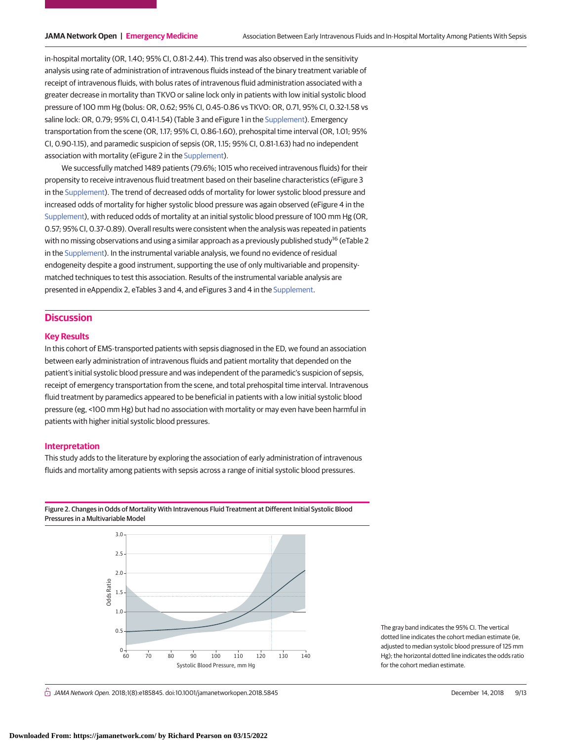in-hospital mortality (OR, 1.40; 95% CI, 0.81-2.44). This trend was also observed in the sensitivity analysis using rate of administration of intravenous fluids instead of the binary treatment variable of receipt of intravenous fluids, with bolus rates of intravenous fluid administration associated with a greater decrease in mortality than TKVO or saline lock only in patients with low initial systolic blood pressure of 100 mm Hg (bolus: OR, 0.62; 95% CI, 0.45-0.86 vs TKVO: OR, 0.71, 95% CI, 0.32-1.58 vs saline lock: OR, 0.79; 95% CI, 0.41-1.54) (Table 3 and eFigure 1 in the [Supplement\)](https://jama.jamanetwork.com/article.aspx?doi=10.1001/jamanetworkopen.2018.5845&utm_campaign=articlePDF%26utm_medium=articlePDFlink%26utm_source=articlePDF%26utm_content=jamanetworkopen.2018.5845). Emergency transportation from the scene (OR, 1.17; 95% CI, 0.86-1.60), prehospital time interval (OR, 1.01; 95% CI, 0.90-1.15), and paramedic suspicion of sepsis (OR, 1.15; 95% CI, 0.81-1.63) had no independent association with mortality (eFigure 2 in the [Supplement\)](https://jama.jamanetwork.com/article.aspx?doi=10.1001/jamanetworkopen.2018.5845&utm_campaign=articlePDF%26utm_medium=articlePDFlink%26utm_source=articlePDF%26utm_content=jamanetworkopen.2018.5845).

We successfully matched 1489 patients (79.6%; 1015 who received intravenous fluids) for their propensity to receive intravenous fluid treatment based on their baseline characteristics (eFigure 3 in the [Supplement\)](https://jama.jamanetwork.com/article.aspx?doi=10.1001/jamanetworkopen.2018.5845&utm_campaign=articlePDF%26utm_medium=articlePDFlink%26utm_source=articlePDF%26utm_content=jamanetworkopen.2018.5845). The trend of decreased odds of mortality for lower systolic blood pressure and increased odds of mortality for higher systolic blood pressure was again observed (eFigure 4 in the [Supplement\)](https://jama.jamanetwork.com/article.aspx?doi=10.1001/jamanetworkopen.2018.5845&utm_campaign=articlePDF%26utm_medium=articlePDFlink%26utm_source=articlePDF%26utm_content=jamanetworkopen.2018.5845), with reduced odds of mortality at an initial systolic blood pressure of 100 mm Hg (OR, 0.57; 95% CI, 0.37-0.89). Overall results were consistent when the analysis was repeated in patients with no missing observations and using a similar approach as a previously published study<sup>16</sup> (eTable 2 in the [Supplement\)](https://jama.jamanetwork.com/article.aspx?doi=10.1001/jamanetworkopen.2018.5845&utm_campaign=articlePDF%26utm_medium=articlePDFlink%26utm_source=articlePDF%26utm_content=jamanetworkopen.2018.5845). In the instrumental variable analysis, we found no evidence of residual endogeneity despite a good instrument, supporting the use of only multivariable and propensitymatched techniques to test this association. Results of the instrumental variable analysis are presented in eAppendix 2, eTables 3 and 4, and eFigures 3 and 4 in the [Supplement.](https://jama.jamanetwork.com/article.aspx?doi=10.1001/jamanetworkopen.2018.5845&utm_campaign=articlePDF%26utm_medium=articlePDFlink%26utm_source=articlePDF%26utm_content=jamanetworkopen.2018.5845)

### **Discussion**

#### **Key Results**

In this cohort of EMS-transported patients with sepsis diagnosed in the ED, we found an association between early administration of intravenous fluids and patient mortality that depended on the patient's initial systolic blood pressure and was independent of the paramedic's suspicion of sepsis, receipt of emergency transportation from the scene, and total prehospital time interval. Intravenous fluid treatment by paramedics appeared to be beneficial in patients with a low initial systolic blood pressure (eg, <100 mm Hg) but had no association with mortality or may even have been harmful in patients with higher initial systolic blood pressures.

#### **Interpretation**

This study adds to the literature by exploring the association of early administration of intravenous fluids and mortality among patients with sepsis across a range of initial systolic blood pressures.





The gray band indicates the 95% CI. The vertical dotted line indicates the cohort median estimate (ie, adjusted to median systolic blood pressure of 125 mm Hg); the horizontal dotted line indicates the odds ratio for the cohort median estimate.

 $\bigcap$  JAMA Network Open. 2018;1(8):e185845. doi:10.1001/jamanetworkopen.2018.5845 (Reprinted) December 14, 2018 9/13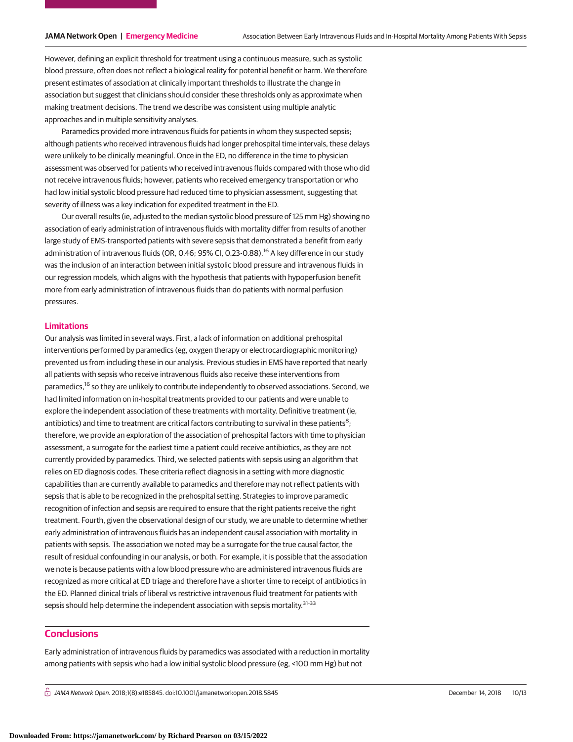However, defining an explicit threshold for treatment using a continuous measure, such as systolic blood pressure, often does not reflect a biological reality for potential benefit or harm. We therefore present estimates of association at clinically important thresholds to illustrate the change in association but suggest that clinicians should consider these thresholds only as approximate when making treatment decisions. The trend we describe was consistent using multiple analytic approaches and in multiple sensitivity analyses.

Paramedics provided more intravenous fluids for patients in whom they suspected sepsis; although patients who received intravenous fluids had longer prehospital time intervals, these delays were unlikely to be clinically meaningful. Once in the ED, no difference in the time to physician assessment was observed for patients who received intravenous fluids compared with those who did not receive intravenous fluids; however, patients who received emergency transportation or who had low initial systolic blood pressure had reduced time to physician assessment, suggesting that severity of illness was a key indication for expedited treatment in the ED.

Our overall results (ie, adjusted to the median systolic blood pressure of 125 mm Hg) showing no association of early administration of intravenous fluids with mortality differ from results of another large study of EMS-transported patients with severe sepsis that demonstrated a benefit from early administration of intravenous fluids (OR, 0.46; 95% CI, 0.23-0.88).<sup>16</sup> A key difference in our study was the inclusion of an interaction between initial systolic blood pressure and intravenous fluids in our regression models, which aligns with the hypothesis that patients with hypoperfusion benefit more from early administration of intravenous fluids than do patients with normal perfusion pressures.

#### **Limitations**

Our analysis was limited in several ways. First, a lack of information on additional prehospital interventions performed by paramedics (eg, oxygen therapy or electrocardiographic monitoring) prevented us from including these in our analysis. Previous studies in EMS have reported that nearly all patients with sepsis who receive intravenous fluids also receive these interventions from paramedics,<sup>16</sup> so they are unlikely to contribute independently to observed associations. Second, we had limited information on in-hospital treatments provided to our patients and were unable to explore the independent association of these treatments with mortality. Definitive treatment (ie, antibiotics) and time to treatment are critical factors contributing to survival in these patients<sup>8</sup>; therefore, we provide an exploration of the association of prehospital factors with time to physician assessment, a surrogate for the earliest time a patient could receive antibiotics, as they are not currently provided by paramedics. Third, we selected patients with sepsis using an algorithm that relies on ED diagnosis codes. These criteria reflect diagnosis in a setting with more diagnostic capabilities than are currently available to paramedics and therefore may not reflect patients with sepsis that is able to be recognized in the prehospital setting. Strategies to improve paramedic recognition of infection and sepsis are required to ensure that the right patients receive the right treatment. Fourth, given the observational design of our study, we are unable to determine whether early administration of intravenous fluids has an independent causal association with mortality in patients with sepsis. The association we noted may be a surrogate for the true causal factor, the result of residual confounding in our analysis, or both. For example, it is possible that the association we note is because patients with a low blood pressure who are administered intravenous fluids are recognized as more critical at ED triage and therefore have a shorter time to receipt of antibiotics in the ED. Planned clinical trials of liberal vs restrictive intravenous fluid treatment for patients with sepsis should help determine the independent association with sepsis mortality.<sup>31-33</sup>

# **Conclusions**

Early administration of intravenous fluids by paramedics was associated with a reduction in mortality among patients with sepsis who had a low initial systolic blood pressure (eg, <100 mm Hg) but not

 $\bigcap$  JAMA Network Open. 2018;1(8):e185845. doi:10.1001/jamanetworkopen.2018.5845 (Reprinted) December 14, 2018 10/13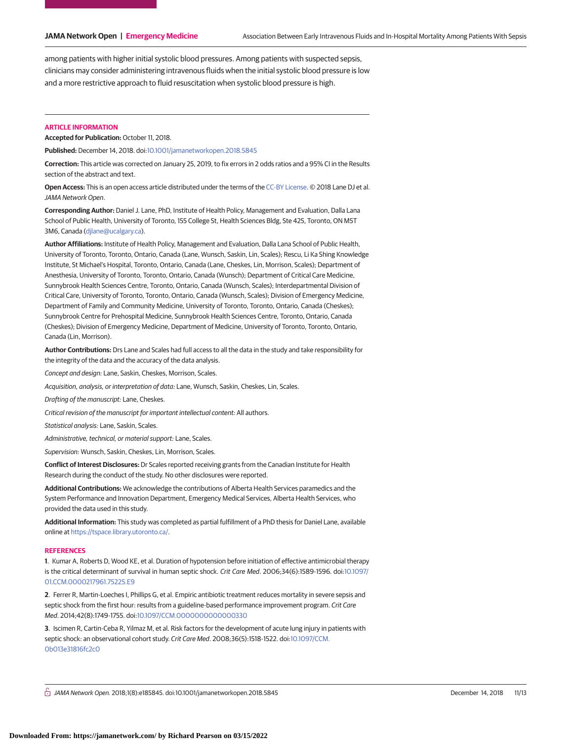among patients with higher initial systolic blood pressures. Among patients with suspected sepsis, clinicians may consider administering intravenous fluids when the initial systolic blood pressure is low and a more restrictive approach to fluid resuscitation when systolic blood pressure is high.

#### **ARTICLE INFORMATION**

**Accepted for Publication:** October 11, 2018.

**Published:** December 14, 2018. doi[:10.1001/jamanetworkopen.2018.5845](https://jama.jamanetwork.com/article.aspx?doi=10.1001/jamanetworkopen.2018.5845&utm_campaign=articlePDF%26utm_medium=articlePDFlink%26utm_source=articlePDF%26utm_content=jamanetworkopen.2018.5845)

**Correction:** This article was corrected on January 25, 2019, to fix errors in 2 odds ratios and a 95% CI in the Results section of the abstract and text.

**Open Access:** This is an open access article distributed under the terms of the [CC-BY License.](https://jamanetwork.com/journals/jamanetworkopen/pages/instructions-for-authors#SecOpenAccess/?utm_campaign=articlePDF%26utm_medium=articlePDFlink%26utm_source=articlePDF%26utm_content=jamanetworkopen.2018.5845) © 2018 Lane DJ et al. JAMA Network Open.

**Corresponding Author:** Daniel J. Lane, PhD, Institute of Health Policy, Management and Evaluation, Dalla Lana School of Public Health, University of Toronto, 155 College St, Health Sciences Bldg, Ste 425, Toronto, ON M5T 3M6, Canada [\(djlane@ucalgary.ca\)](mailto:djlane@ucalgary.ca).

**Author Affiliations:** Institute of Health Policy, Management and Evaluation, Dalla Lana School of Public Health, University of Toronto, Toronto, Ontario, Canada (Lane, Wunsch, Saskin, Lin, Scales); Rescu, Li Ka Shing Knowledge Institute, St Michael's Hospital, Toronto, Ontario, Canada (Lane, Cheskes, Lin, Morrison, Scales); Department of Anesthesia, University of Toronto, Toronto, Ontario, Canada (Wunsch); Department of Critical Care Medicine, Sunnybrook Health Sciences Centre, Toronto, Ontario, Canada (Wunsch, Scales); Interdepartmental Division of Critical Care, University of Toronto, Toronto, Ontario, Canada (Wunsch, Scales); Division of Emergency Medicine, Department of Family and Community Medicine, University of Toronto, Toronto, Ontario, Canada (Cheskes); Sunnybrook Centre for Prehospital Medicine, Sunnybrook Health Sciences Centre, Toronto, Ontario, Canada (Cheskes); Division of Emergency Medicine, Department of Medicine, University of Toronto, Toronto, Ontario, Canada (Lin, Morrison).

**Author Contributions:** Drs Lane and Scales had full access to all the data in the study and take responsibility for the integrity of the data and the accuracy of the data analysis.

Concept and design: Lane, Saskin, Cheskes, Morrison, Scales.

Acquisition, analysis, or interpretation of data: Lane, Wunsch, Saskin, Cheskes, Lin, Scales.

Drafting of the manuscript: Lane, Cheskes.

Critical revision of the manuscript for important intellectual content: All authors.

Statistical analysis: Lane, Saskin, Scales.

Administrative, technical, or material support: Lane, Scales.

Supervision: Wunsch, Saskin, Cheskes, Lin, Morrison, Scales.

**Conflict of Interest Disclosures:** Dr Scales reported receiving grants from the Canadian Institute for Health Research during the conduct of the study. No other disclosures were reported.

**Additional Contributions:** We acknowledge the contributions of Alberta Health Services paramedics and the System Performance and Innovation Department, Emergency Medical Services, Alberta Health Services, who provided the data used in this study.

**Additional Information:** This study was completed as partial fulfillment of a PhD thesis for Daniel Lane, available online at [https://tspace.library.utoronto.ca/.](https://tspace.library.utoronto.ca/)

#### **REFERENCES**

**1**. Kumar A, Roberts D, Wood KE, et al. Duration of hypotension before initiation of effective antimicrobial therapy is the critical determinant of survival in human septic shock. Crit Care Med. 2006;34(6):1589-1596. doi[:10.1097/](https://dx.doi.org/10.1097/01.CCM.0000217961.75225.E9) [01.CCM.0000217961.75225.E9](https://dx.doi.org/10.1097/01.CCM.0000217961.75225.E9)

**2**. Ferrer R, Martin-Loeches I, Phillips G, et al. Empiric antibiotic treatment reduces mortality in severe sepsis and septic shock from the first hour: results from a guideline-based performance improvement program. Crit Care Med. 2014;42(8):1749-1755. doi[:10.1097/CCM.0000000000000330](https://dx.doi.org/10.1097/CCM.0000000000000330)

**3**. Iscimen R, Cartin-Ceba R, Yilmaz M, et al. Risk factors for the development of acute lung injury in patients with septic shock: an observational cohort study. Crit Care Med. 2008;36(5):1518-1522. doi[:10.1097/CCM.](https://dx.doi.org/10.1097/CCM.0b013e31816fc2c0) [0b013e31816fc2c0](https://dx.doi.org/10.1097/CCM.0b013e31816fc2c0)

 $\bigcap$  JAMA Network Open. 2018;1(8):e185845. doi:10.1001/jamanetworkopen.2018.5845 (Reprinted) December 14, 2018 11/13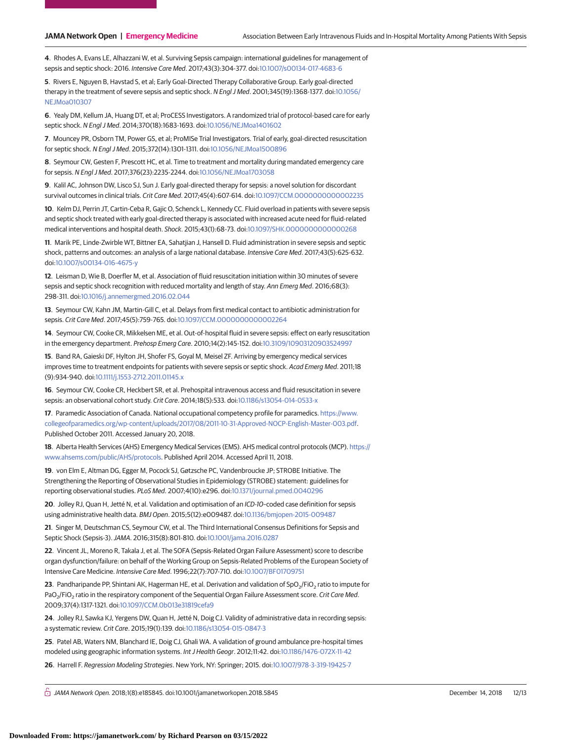**4**. Rhodes A, Evans LE, Alhazzani W, et al. Surviving Sepsis campaign: international guidelines for management of sepsis and septic shock: 2016. Intensive Care Med. 2017;43(3):304-377. doi[:10.1007/s00134-017-4683-6](https://dx.doi.org/10.1007/s00134-017-4683-6)

**5**. Rivers E, Nguyen B, Havstad S, et al; Early Goal-Directed Therapy Collaborative Group. Early goal-directed therapy in the treatment of severe sepsis and septic shock. N Engl J Med. 2001;345(19):1368-1377. doi[:10.1056/](https://dx.doi.org/10.1056/NEJMoa010307) [NEJMoa010307](https://dx.doi.org/10.1056/NEJMoa010307)

**6**. Yealy DM, Kellum JA, Huang DT, et al; ProCESS Investigators. A randomized trial of protocol-based care for early septic shock. N Engl J Med. 2014;370(18):1683-1693. doi[:10.1056/NEJMoa1401602](https://dx.doi.org/10.1056/NEJMoa1401602)

**7**. Mouncey PR, Osborn TM, Power GS, et al; ProMISe Trial Investigators. Trial of early, goal-directed resuscitation for septic shock. N Engl J Med. 2015;372(14):1301-1311. doi[:10.1056/NEJMoa1500896](https://dx.doi.org/10.1056/NEJMoa1500896)

**8**. Seymour CW, Gesten F, Prescott HC, et al. Time to treatment and mortality during mandated emergency care for sepsis. N Engl J Med. 2017;376(23):2235-2244. doi[:10.1056/NEJMoa1703058](https://dx.doi.org/10.1056/NEJMoa1703058)

**9**. Kalil AC, Johnson DW, Lisco SJ, Sun J. Early goal-directed therapy for sepsis: a novel solution for discordant survival outcomes in clinical trials. Crit Care Med. 2017;45(4):607-614. doi[:10.1097/CCM.0000000000002235](https://dx.doi.org/10.1097/CCM.0000000000002235)

**10**. Kelm DJ, Perrin JT, Cartin-Ceba R, Gajic O, Schenck L, Kennedy CC. Fluid overload in patients with severe sepsis and septic shock treated with early goal-directed therapy is associated with increased acute need for fluid-related medical interventions and hospital death. Shock. 2015;43(1):68-73. doi[:10.1097/SHK.0000000000000268](https://dx.doi.org/10.1097/SHK.0000000000000268)

**11**. Marik PE, Linde-Zwirble WT, Bittner EA, Sahatjian J, Hansell D. Fluid administration in severe sepsis and septic shock, patterns and outcomes: an analysis of a large national database. Intensive Care Med. 2017;43(5):625-632. doi[:10.1007/s00134-016-4675-y](https://dx.doi.org/10.1007/s00134-016-4675-y)

**12**. Leisman D, Wie B, Doerfler M, et al. Association of fluid resuscitation initiation within 30 minutes of severe sepsis and septic shock recognition with reduced mortality and length of stay. Ann Emerg Med. 2016;68(3): 298-311. doi[:10.1016/j.annemergmed.2016.02.044](https://dx.doi.org/10.1016/j.annemergmed.2016.02.044)

**13**. Seymour CW, Kahn JM, Martin-Gill C, et al. Delays from first medical contact to antibiotic administration for sepsis. Crit Care Med. 2017;45(5):759-765. doi[:10.1097/CCM.0000000000002264](https://dx.doi.org/10.1097/CCM.0000000000002264)

**14**. Seymour CW, Cooke CR, Mikkelsen ME, et al. Out-of-hospital fluid in severe sepsis: effect on early resuscitation in the emergency department. Prehosp Emerg Care. 2010;14(2):145-152. doi[:10.3109/10903120903524997](https://dx.doi.org/10.3109/10903120903524997)

**15**. Band RA, Gaieski DF, Hylton JH, Shofer FS, Goyal M, Meisel ZF. Arriving by emergency medical services improves time to treatment endpoints for patients with severe sepsis or septic shock. Acad Emerg Med. 2011;18 (9):934-940. doi[:10.1111/j.1553-2712.2011.01145.x](https://dx.doi.org/10.1111/j.1553-2712.2011.01145.x)

**16**. Seymour CW, Cooke CR, Heckbert SR, et al. Prehospital intravenous access and fluid resuscitation in severe sepsis: an observational cohort study. Crit Care. 2014;18(5):533. doi[:10.1186/s13054-014-0533-x](https://dx.doi.org/10.1186/s13054-014-0533-x)

**17**. Paramedic Association of Canada. National occupational competency profile for paramedics. [https://www.](https://www.collegeofparamedics.org/wp-content/uploads/2017/08/2011-10-31-Approved-NOCP-English-Master-003.pdf) [collegeofparamedics.org/wp-content/uploads/2017/08/2011-10-31-Approved-NOCP-English-Master-003.pdf.](https://www.collegeofparamedics.org/wp-content/uploads/2017/08/2011-10-31-Approved-NOCP-English-Master-003.pdf) Published October 2011. Accessed January 20, 2018.

**18**. Alberta Health Services (AHS) Emergency Medical Services (EMS). AHS medical control protocols (MCP). [https://](https://www.ahsems.com/public/AHS/protocols) [www.ahsems.com/public/AHS/protocols.](https://www.ahsems.com/public/AHS/protocols) Published April 2014. Accessed April 11, 2018.

**19**. von Elm E, Altman DG, Egger M, Pocock SJ, Gøtzsche PC, Vandenbroucke JP; STROBE Initiative. The Strengthening the Reporting of Observational Studies in Epidemiology (STROBE) statement: guidelines for reporting observational studies. PLoS Med. 2007;4(10):e296. doi[:10.1371/journal.pmed.0040296](https://dx.doi.org/10.1371/journal.pmed.0040296)

**20**. Jolley RJ, Quan H, Jetté N, et al. Validation and optimisation of an ICD-10–coded case definition for sepsis using administrative health data. BMJ Open. 2015;5(12):e009487. doi[:10.1136/bmjopen-2015-009487](https://dx.doi.org/10.1136/bmjopen-2015-009487)

**21**. Singer M, Deutschman CS, Seymour CW, et al. The Third International Consensus Definitions for Sepsis and Septic Shock (Sepsis-3).JAMA. 2016;315(8):801-810. doi[:10.1001/jama.2016.0287](https://jama.jamanetwork.com/article.aspx?doi=10.1001/jama.2016.0287&utm_campaign=articlePDF%26utm_medium=articlePDFlink%26utm_source=articlePDF%26utm_content=jamanetworkopen.2018.5845)

**22**. Vincent JL, Moreno R, Takala J, et al. The SOFA (Sepsis-Related Organ Failure Assessment) score to describe organ dysfunction/failure: on behalf of the Working Group on Sepsis-Related Problems of the European Society of Intensive Care Medicine. Intensive Care Med. 1996;22(7):707-710. doi[:10.1007/BF01709751](https://dx.doi.org/10.1007/BF01709751)

**23**. Pandharipande PP, Shintani AK, Hagerman HE, et al. Derivation and validation of SpO<sub>2</sub>/FiO<sub>2</sub> ratio to impute for PaO<sub>2</sub>/FiO<sub>2</sub> ratio in the respiratory component of the Sequential Organ Failure Assessment score. Crit Care Med. 2009;37(4):1317-1321. doi[:10.1097/CCM.0b013e31819cefa9](https://dx.doi.org/10.1097/CCM.0b013e31819cefa9)

**24**. Jolley RJ, Sawka KJ, Yergens DW, Quan H, Jetté N, Doig CJ. Validity of administrative data in recording sepsis: a systematic review. Crit Care. 2015;19(1):139. doi[:10.1186/s13054-015-0847-3](https://dx.doi.org/10.1186/s13054-015-0847-3)

**25**. Patel AB, Waters NM, Blanchard IE, Doig CJ, Ghali WA. A validation of ground ambulance pre-hospital times modeled using geographic information systems. Int J Health Geogr. 2012;11:42. doi[:10.1186/1476-072X-11-42](https://dx.doi.org/10.1186/1476-072X-11-42)

**26**. Harrell F. Regression Modeling Strategies. New York, NY: Springer; 2015. doi[:10.1007/978-3-319-19425-7](https://dx.doi.org/10.1007/978-3-319-19425-7)

 $\bigcap$  JAMA Network Open. 2018;1(8):e185845. doi:10.1001/jamanetworkopen.2018.5845 (Reprinted) December 14, 2018 12/13